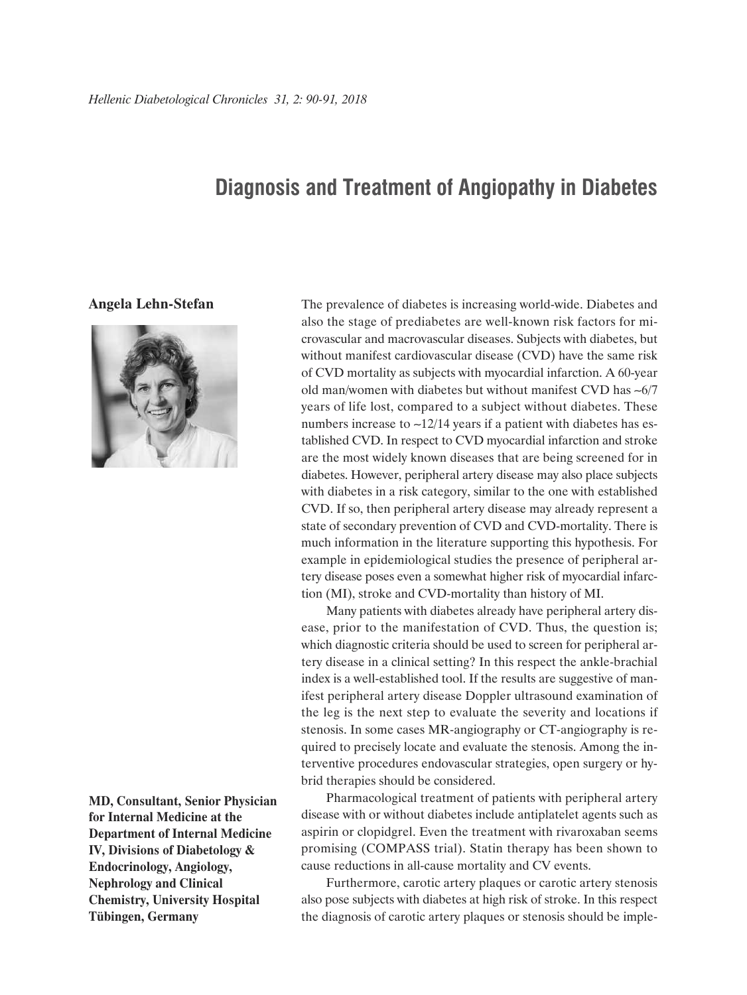## **Diagnosis and Treatment of Angiopathy in Diabetes**

## **Angela Lehn-Stefan**



**MD, Consultant, Senior Physician for Internal Medicine at the Department of Internal Medicine IV, Divisions of Diabetology & Endocrinology, Angiology, Nephrology and Clinical Chemistry, University Hospital Tübingen, Germany**

The prevalence of diabetes is increasing world-wide. Diabetes and also the stage of prediabetes are well-known risk factors for microvascular and macrovascular diseases. Subjects with diabetes, but without manifest cardiovascular disease (CVD) have the same risk of CVD mortality as subjects with myocardial infarction. A 60-year old man/women with diabetes but without manifest CVD has ~6/7 years of life lost, compared to a subject without diabetes. These numbers increase to  $\sim$ 12/14 years if a patient with diabetes has established CVD. In respect to CVD myocardial infarction and stroke are the most widely known diseases that are being screened for in diabetes. However, peripheral artery disease may also place subjects with diabetes in a risk category, similar to the one with established CVD. If so, then peripheral artery disease may already represent a state of secondary prevention of CVD and CVD-mortality. There is much information in the literature supporting this hypothesis. For example in epidemiological studies the presence of peripheral artery disease poses even a somewhat higher risk of myocardial infarction (MI), stroke and CVD-mortality than history of MI.

Many patients with diabetes already have peripheral artery disease, prior to the manifestation of CVD. Thus, the question is; which diagnostic criteria should be used to screen for peripheral artery disease in a clinical setting? In this respect the ankle-brachial index is a well-established tool. If the results are suggestive of manifest peripheral artery disease Doppler ultrasound examination of the leg is the next step to evaluate the severity and locations if stenosis. In some cases MR-angiography or CT-angiography is required to precisely locate and evaluate the stenosis. Among the interventive procedures endovascular strategies, open surgery or hybrid therapies should be considered.

Pharmacological treatment of patients with peripheral artery disease with or without diabetes include antiplatelet agents such as aspirin or clopidgrel. Even the treatment with rivaroxaban seems promising (COMPASS trial). Statin therapy has been shown to cause reductions in all-cause mortality and CV events.

Furthermore, carotic artery plaques or carotic artery stenosis also pose subjects with diabetes at high risk of stroke. In this respect the diagnosis of carotic artery plaques or stenosis should be imple-